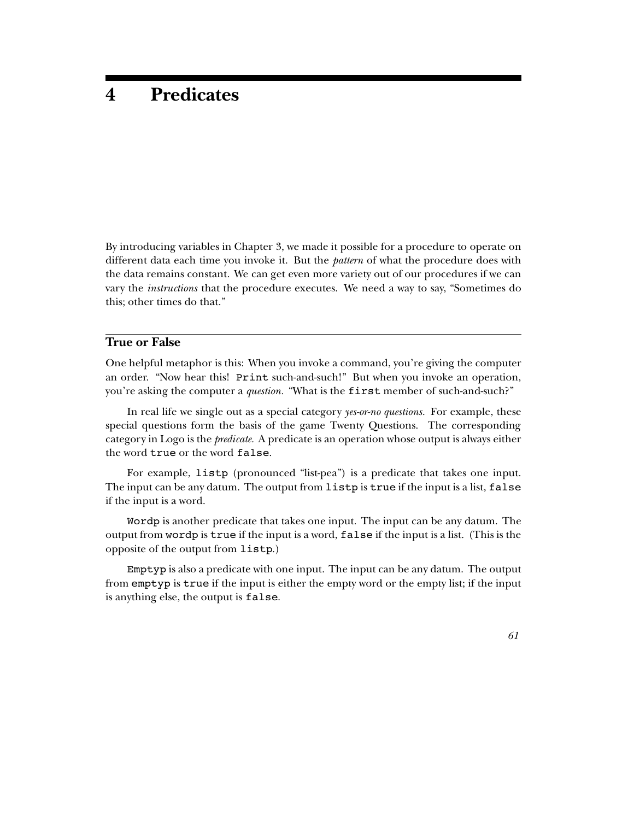# **4 Predicates**

different data each time you invoke it. But the *pattern* of what the procedure does with vary the *instructions* that the procedure executes. We need a way to say, "Sometimes do By introducing variables in Chapter 3, we made it possible for a procedure to operate on the data remains constant. We can get even more variety out of our procedures if we can this; other times do that."

### **True or False**

you're asking the computer a *question.* "What is the <code>first</code> member of such-and-such?" an order. "Now hear this! Print such-and-such!" But when you invoke an operation, One helpful metaphor is this: When you invoke a command, you're giving the computer

In real life we single out as a special category *yes-or-no questions*. For example, these category in Logo is the *predicate*. A predicate is an operation whose output is always either the word true or the word false. special questions form the basis of the game Twenty Questions. The corresponding

For example, listp (pronounced "list-pea") is a predicate that takes one input. The input can be any datum. The output from  $\mathtt{listp}$  is  $\mathtt{true}$  if the input is a list, <code>false</code> if the input is a word.

Wordp is another predicate that takes one input. The input can be any datum. The output from **wordp** is  $\mathtt{true}$  if the input is a word, <code>false</code> if the input is a list. (This is the opposite of the output from listp.)

Emptyp is also a predicate with one input. The input can be any datum. The output from  $\mathsf{empty}$  is true if the input is either the empty word or the empty list; if the input is anything else, the output is <code>false</code>.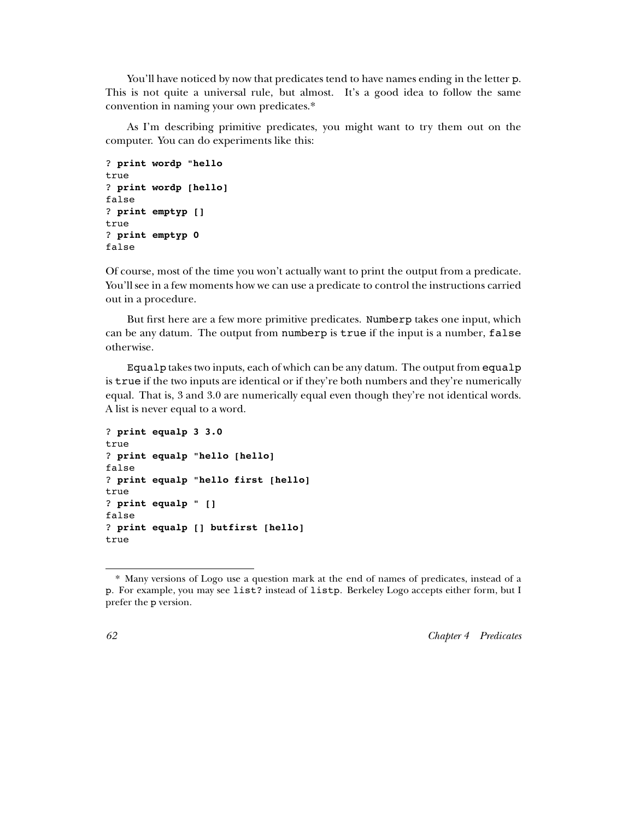You'll have noticed by now that predicates tend to have names ending in the letter  ${\tt p}.$ This is not quite a universal rule, but almost. It's a good idea to follow the same convention in naming your own predicates.\*

As I'm describing primitive predicates, you might want to try them out on the computer. You can do experiments like this:

```
?
print wordp "hello
true
?
print wordp [hello]
false
?
print emptyp []
true
?
print emptyp 0
false
```
Of course, most of the time you won't actually want to print the output from a predicate. You'llsee in a few moments how we can use a predicate to control the instructions carried out in a procedure.

But first here are a few more primitive predicates. Numberp takes one input, which can be any datum. The output from numberp is true if the input is a number, false otherwise.

Equalp takes two inputs, each of which can be any datum. The output from  $\verb|equal|p$ is <code>true</code> if the two inputs are identical or if they're both numbers and they're numerically equal. That is, 3 and 3.0 are numerically equal even though they're not identical words. A list is never equal to a word.

```
?
print equalp 3 3.0
true
?
print equalp "hello [hello]
false
?
print equalp "hello first [hello]
true
?
print equalp " []
false
?
print equalp [] butfirst [hello]
true
```
p. For example, you may see list? instead of listp. Berkeley Logo accepts either form, but I prefer the **p** version. \* Many versions of Logo use a question mark at the end of names of predicates, instead of a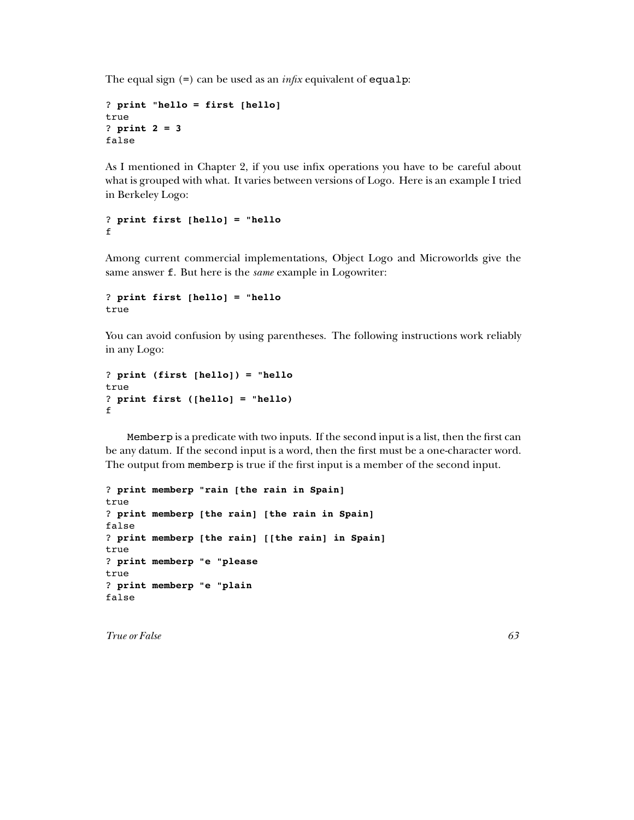The equal sign  $( = )$  can be used as an  $\mathit{infix}$  equivalent of  $\texttt{equalp}:$ 

```
?
print "hello = first [hello]
true
?
print 2 = 3
false
```
As I mentioned in Chapter 2, if you use infix operations you have to be careful about what is grouped with what. It varies between versions of Logo. Here is an example I tried in Berkeley Logo:

? **print first [hello] = "hello** f

same answer f. But here is the *same* example in Logowriter: Among current commercial implementations, Object Logo and Microworlds give the

? **print first [hello] = "hello** true

You can avoid confusion by using parentheses. The following instructions work reliably in any Logo:

```
?
print (first [hello]) = "hello
true
?
print first ([hello] = "hello)
f
```
Memberp is a predicate with two inputs. If the second input is a list, then the first can The output from memberp is true if the first input is a member of the second input. be any datum. If the second input is a word, then the first must be a one-character word.

```
?
print memberp "rain [the rain in Spain]
true
?
print memberp [the rain] [the rain in Spain]
false
?
print memberp [the rain] [[the rain] in Spain]
true
?
print memberp "e "please
true
?
print memberp "e "plain
false
```
*True or False 63*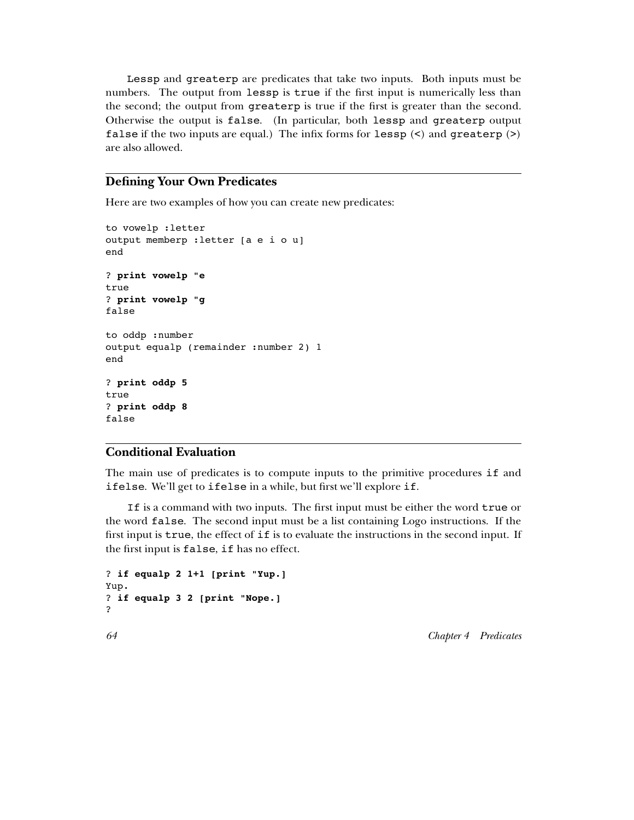Lessp and greaterp are predicates that take two inputs. Both inputs must be numbers. The output from lessp is true if the first input is numerically less than the second; the output from greaterp is true if the first is greater than the second. Otherwise the output is false. (In particular, both lessp and greaterp output false if the two inputs are equal.) The infix forms for lessp  $\langle \rangle$  and greaterp  $\langle \rangle$ are also allowed.

# **Defining Your Own Predicates**

Here are two examples of how you can create new predicates:

```
print vowelp "e
?
print vowelp "g
?
print oddp 5
?
print oddp 8
?
to vowelp :letter
output memberp :letter [a e i o u]
end
true
false
to oddp :number
output equalp (remainder :number 2) 1
end
true
false
```
#### **Conditional Evaluation**

The main use of predicates is to compute inputs to the primitive procedures if and ifelse. We'll get to ifelse in a while, but first we'll explore if.

If is a command with two inputs. The first input must be either the word true or the word false. The second input must be a list containing Logo instructions. If the first input is  $true$ , the effect of  $if$  is to evaluate the instructions in the second input. If the first input is false, if has no effect.

```
64 Chapter 4 Predicates
if equalp 2 1+1 [print "Yup.]
?
if equalp 3 2 [print "Nope.]
?
Yup.
?
```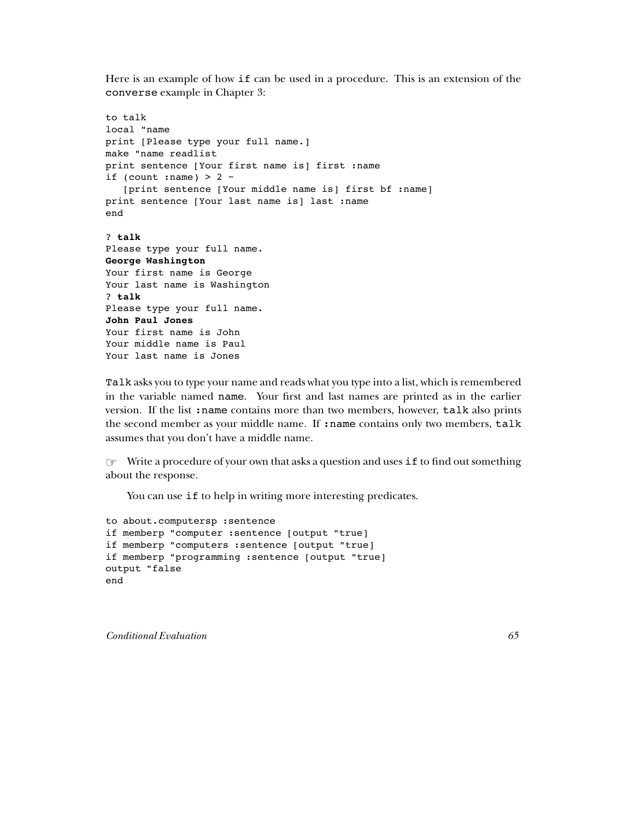Here is an example of how  $\mathtt{if}$  can be used in a procedure. This is an extension of the converse example in Chapter 3:

```
talk
?
George Washington
talk
?
John Paul Jones
to talk
local "name
print [Please type your full name.]
make "name readlist
print sentence [Your first name is] first :name
if (count : name) > 2 ~
   [print sentence [Your middle name is] first bf :name]
print sentence [Your last name is] last :name
end
Please type your full name.
Your first name is George
Your last name is Washington
Please type your full name.
Your first name is John
Your middle name is Paul
Your last name is Jones
```
Talk asks you to type your name and reads what you type into a list, which is remembered in the variable named name. Your first and last names are printed as in the earlier version. If the list : name contains more than two members, however, talk also prints the second member as your middle name. If : name contains only two members,  $\texttt{talk}$ assumes that you don't have a middle name.

☞ if Write a procedure of your own that asks a question and uses to find out something about the response.

You can use if to help in writing more interesting predicates.

```
to about.computersp :sentence
if memberp "computer :sentence [output "true]
if memberp "computers :sentence [output "true]
if memberp "programming :sentence [output "true]
output "false
end
```
*Conditional Evaluation 65*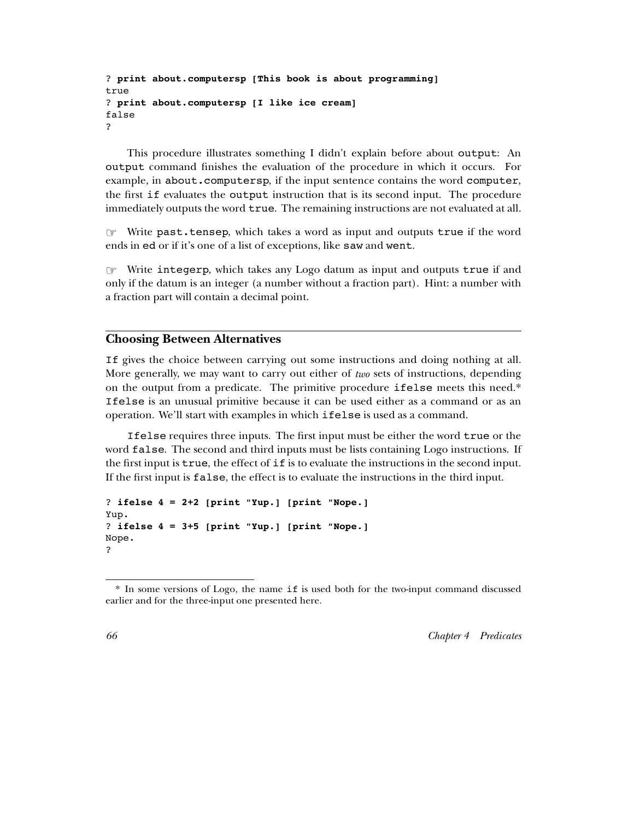```
?
print about.computersp [This book is about programming]
true
?
print about.computersp [I like ice cream]
false
?
```
This procedure illustrates something I didn't explain before about output: An output command finishes the evaluation of the procedure in which it occurs. For example, in  $about\text{-}computersp$ , if the input sentence contains the word  $computer$ , the first if evaluates the output instruction that is its second input. The procedure immediately outputs the word <code>true</code>. The remaining instructions are not evaluated at all.

☞ past.tensep true Write , which takes a word as input and outputs if the word ends in ed or if it's one of a list of exceptions, like saw and went.

☞ integerp true Write , which takes any Logo datum as input and outputs if and only if the datum is an integer (a number without a fraction part). Hint: a number with a fraction part will contain a decimal point.

#### **Choosing Between Alternatives**

More generally, we may want to carry out either of two sets of instructions, depending If gives the choice between carrying out some instructions and doing nothing at all. on the output from a predicate. The primitive procedure *ifelse* meets this need.\* Ifelse is an unusual primitive because it can be used either as a command or as an operation. We'll start with examples in which ifelse is used as a command.

Ifelse requires three inputs. The first input must be either the word true or the word false. The second and third inputs must be lists containing Logo instructions. If the first input is  $true$ , the effect of  $if$  is to evaluate the instructions in the second input. If the first input is false, the effect is to evaluate the instructions in the third input.

```
?
ifelse 4 = 2+2 [print "Yup.] [print "Nope.]
Yup.
?
ifelse 4 = 3+5 [print "Yup.] [print "Nope.]
Nope.
?
```
<sup>\*</sup> In some versions of Logo, the name if is used both for the two-input command discussed earlier and for the three-input one presented here.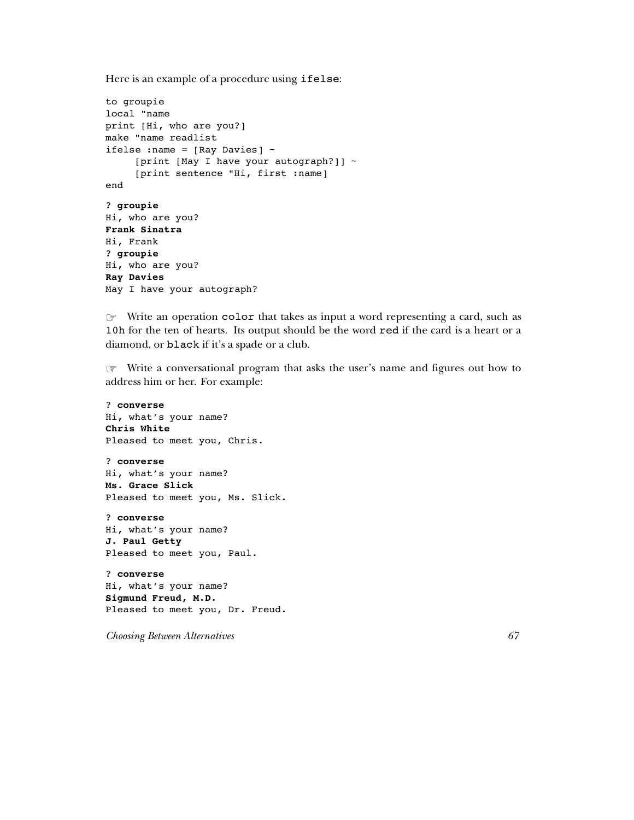Here is an example of a procedure using <code>ifelse</code>:

```
groupie
?
Frank Sinatra
groupie
?
Ray Davies
to groupie
local "name
print [Hi, who are you?]
make "name readlist
ifelse : name = [Ray Davies ] ~
     [print [May I have your autograph?]] ~
     [print sentence "Hi, first :name]
end
Hi, who are you?
Hi, Frank
Hi, who are you?
May I have your autograph?
```
☞ color Write an operation that takes as input a word representing a card, such as 10h for the ten of hearts. Its output should be the word red if the card is a heart or a diamond, or **black** if it's a spade or a club.

☞ Write a conversational program that asks the user's name and figures out how to address him or her. For example:

```
converse
?
Chris White
converse
?
Ms. Grace Slick
converse
?
J. Paul Getty
converse
?
Sigmund Freud, M.D.
Hi, what's your name?
Pleased to meet you, Chris.
Hi, what's your name?
Pleased to meet you, Ms. Slick.
Hi, what's your name?
Pleased to meet you, Paul.
Hi, what's your name?
```
Pleased to meet you, Dr. Freud.

*Choosing Between Alternatives 67*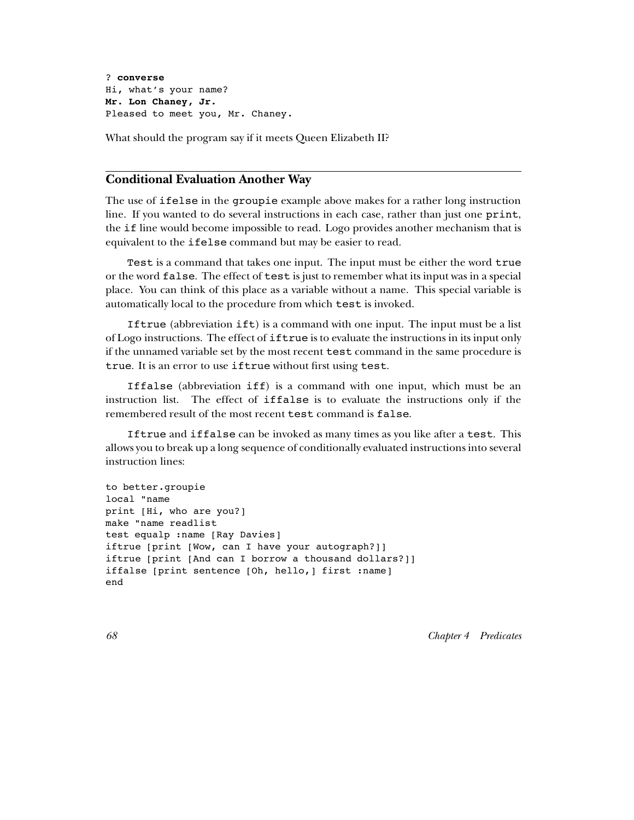**converse** ? **Mr. Lon Chaney, Jr.** Hi, what's your name? Pleased to meet you, Mr. Chaney.

What should the program say if it meets Queen Elizabeth II?

#### **Conditional Evaluation Another Way**

The use of ifelse in the groupie example above makes for a rather long instruction line. If you wanted to do several instructions in each case, rather than just one  $\texttt{print},$ the if line would become impossible to read. Logo provides another mechanism that is equivalent to the ifelse command but may be easier to read.

Test is a command that takes one input. The input must be either the word true or the word false. The effect of test is just to remember what its input was in a special automatically local to the procedure from which test is invoked. place. You can think of this place as a variable without a name. This special variable is

If true (abbreviation if t) is a command with one input. The input must be a list of Logo instructions. The effect of iftrue is to evaluate the instructions in its input only if the unnamed variable set by the most recent  $\texttt{test}$  command in the same procedure is true. It is an error to use iftrue without first using test.

Iffalse (abbreviation iff) is a command with one input, which must be an instruction list. The effect of **iffalse** is to evaluate the instructions only if the remembered result of the most recent test command is false.

Iftrue and iffalse can be invoked as many times as you like after a test. This allows you to break up a long sequence of conditionally evaluated instructions into several instruction lines:

```
to better.groupie
local "name
print [Hi, who are you?]
make "name readlist
test equalp :name [Ray Davies]
iftrue [print [Wow, can I have your autograph?]]
iftrue [print [And can I borrow a thousand dollars?]]
iffalse [print sentence [Oh, hello,] first :name]
end
```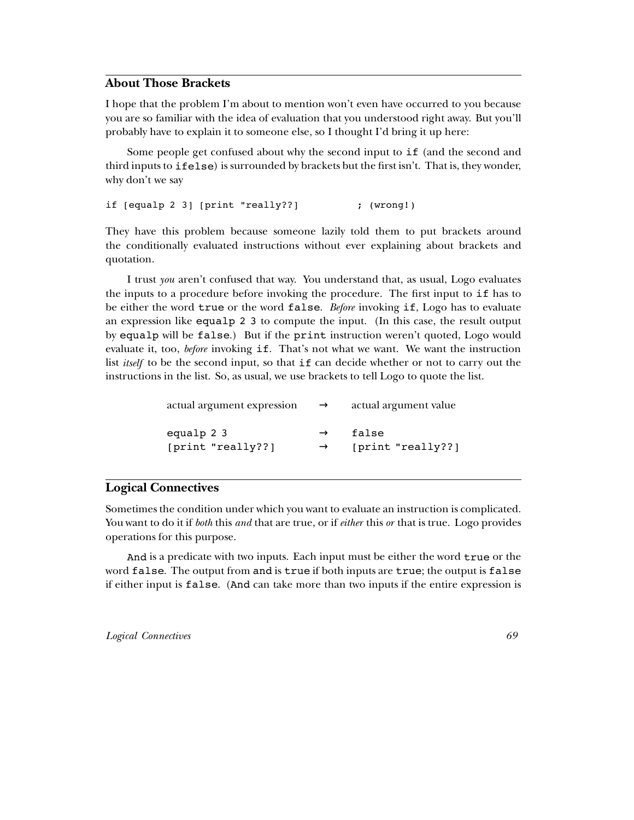#### **About Those Brackets**

I hope that the problem I'm about to mention won't even have occurred to you because you are so familiar with the idea of evaluation that you understood right away. But you'll probably have to explain it to someone else, so I thought I'd bring it up here:

Some people get confused about why the second input to if (and the second and third inputs to <code>ifelse</code>) is surrounded by brackets but the first isn't. That is, they wonder, why don't we say

if [equalp 2 3] [print "really??] ; (wrong!)

They have this problem because someone lazily told them to put brackets around the conditionally evaluated instructions without ever explaining about brackets and quotation.

I trust *you* aren't confused that way. You understand that, as usual, Logo evaluates be either the word true or the word false. *Before* invoking if, Logo has to evaluate evaluate it, too, *before* invoking *if.* That's not what we want. We want the instruction list *itself* to be the second input, so that if can decide whether or not to carry out the the inputs to a procedure before invoking the procedure. The first input to if has to an expression like  $equal p 2 3$  to compute the input. (In this case, the result output by equalp will be false.) But if the print instruction weren't quoted, Logo would instructions in the list. So, as usual, we use brackets to tell Logo to quote the list.

| actual argument expression | $\rightarrow$ | actual argument value |
|----------------------------|---------------|-----------------------|
| equalp 2 3                 | $\rightarrow$ | false                 |
| [print "really??]          | $\rightarrow$ | [print "really??]     |

#### **Logical Connectives**

You want to do it if *both* this *and* that are true, or if *either* this or that is true. Logo provides Sometimes the condition under which you want to evaluate an instruction is complicated. operations for this purpose.

And is a predicate with two inputs. Each input must be either the word true or the word  ${\tt false}$ . The output from  ${\tt and}$  is  ${\tt true}$  if both inputs are  ${\tt true}$ ; the output is  ${\tt false}$ if either input is false. (And can take more than two inputs if the entire expression is

*Logical Connectives 69*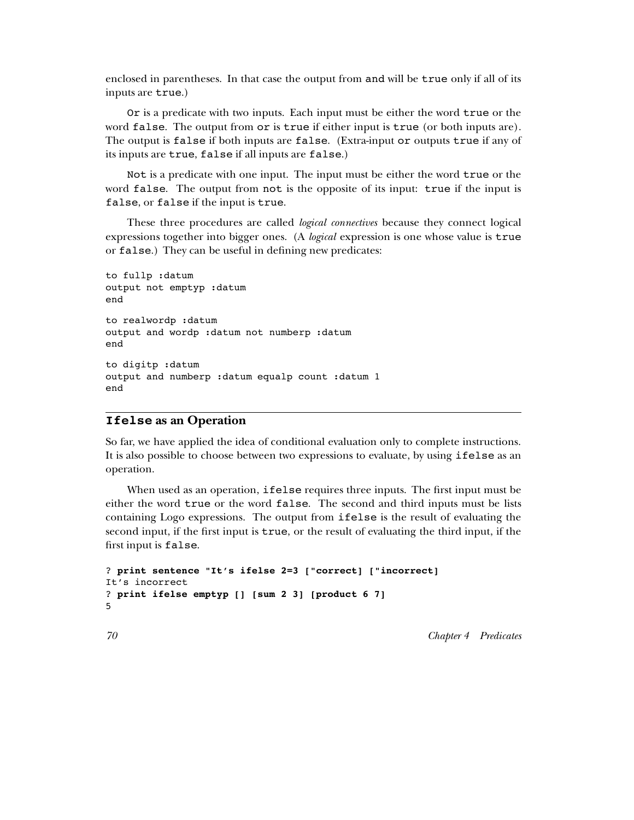enclosed in parentheses. In that case the output from and will be true only if all of its inputs are true.)

Or is a predicate with two inputs. Each input must be either the word true or the word false. The output from  ${\sf or}$  is true if either input is true (or both inputs are). The output is false if both inputs are false. (Extra-input or outputs true if any of its inputs are true, false if all inputs are false.)

Not is a predicate with one input. The input must be either the word true or the word false. The output from not is the opposite of its input: true if the input is false, or false if the input is true.

These three procedures are called *logical connectives* because they connect logical expressions together into bigger ones. (A *logical* expression is one whose value is true or false.) They can be useful in defining new predicates:

```
to fullp :datum
output not emptyp :datum
end
to realwordp :datum
output and wordp :datum not numberp :datum
end
to digitp :datum
output and numberp :datum equalp count :datum 1
end
```
#### **Ifelse as an Operation**

It is also possible to choose between two expressions to evaluate, by using <code>ifelse</code> as an So far, we have applied the idea of conditional evaluation only to complete instructions. operation.

When used as an operation, <code>ifelse</code> requires three inputs. The first input must be either the word true or the word false. The second and third inputs must be lists containing Logo expressions. The output from  ${\tt ifelse}$  is the result of evaluating the second input, if the first input is  $true$ , or the result of evaluating the third input, if the first input is  ${\tt false}.$ 

```
print sentence "It's ifelse 2=3 ["correct] ["incorrect]
?
print ifelse emptyp [] [sum 2 3] [product 6 7]
?
It's incorrect
5
```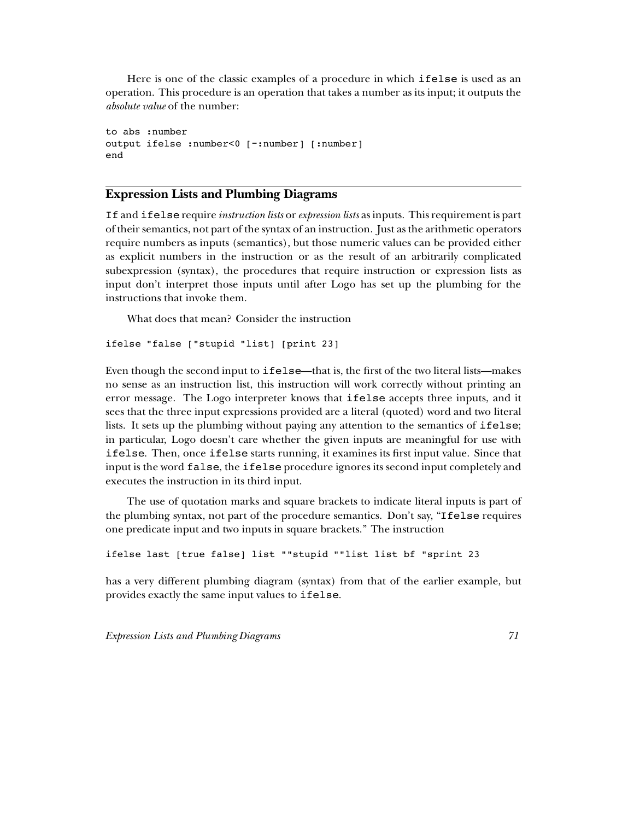Here is one of the classic examples of a procedure in which ifelse is used as an *absolute value* of the number: operation. This procedure is an operation that takes a number as its input; it outputs the

```
to abs :number
output ifelse :number<0 [-:number] [:number]
end
```
# **Expression Lists and Plumbing Diagrams**

If ifelse *instruction lists expression lists* and require or as inputs. This requirement is part of their semantics, not part of the syntax of an instruction. Just as the arithmetic operators require numbers as inputs (semantics), but those numeric values can be provided either as explicit numbers in the instruction or as the result of an arbitrarily complicated subexpression (syntax), the procedures that require instruction or expression lists as input don't interpret those inputs until after Logo has set up the plumbing for the instructions that invoke them.

What does that mean? Consider the instruction

```
ifelse "false ["stupid "list] [print 23]
```
Even though the second input to <code>ifelse—that</code> is, the first of the two literal lists—makes error message. The Logo interpreter knows that *ifelse* accepts three inputs, and it lists. It sets up the plumbing without paying any attention to the semantics of ifelse; ifelse. Then, once ifelse starts running, it examines its first input value. Since that input is the word  ${\tt false}$ , the <code>ifelse</code> procedure ignores its second input completely and no sense as an instruction list, this instruction will work correctly without printing an sees that the three input expressions provided are a literal (quoted) word and two literal in particular, Logo doesn't care whether the given inputs are meaningful for use with executes the instruction in its third input.

the plumbing syntax, not part of the procedure semantics. Don't say, "Ifelse requires The use of quotation marks and square brackets to indicate literal inputs is part of one predicate input and two inputs in square brackets." The instruction

```
ifelse last [true false] list ""stupid ""list list bf "sprint 23
```
provides exactly the same input values to **ifelse**. has a very different plumbing diagram (syntax) from that of the earlier example, but

*Expression Lists and Plumbing Diagrams 71*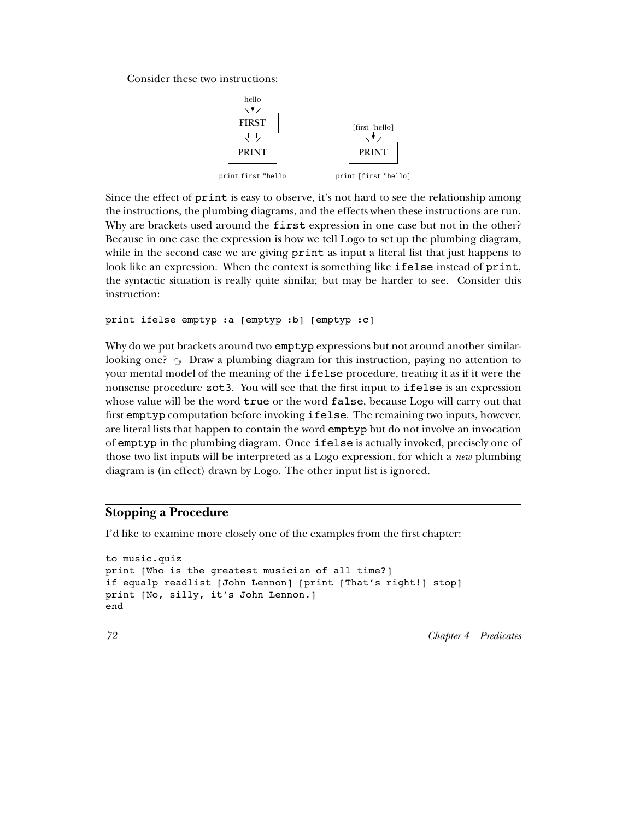Consider these two instructions:



Since the effect of  $print$  is easy to observe, it's not hard to see the relationship among Why are brackets used around the first expression in one case but not in the other? while in the second case we are giving print as input a literal list that just happens to look like an expression. When the context is something like ifelse instead of print, the instructions, the plumbing diagrams, and the effects when these instructions are run. Because in one case the expression is how we tell Logo to set up the plumbing diagram, the syntactic situation is really quite similar, but may be harder to see. Consider this instruction:

```
print ifelse emptyp :a [emptyp :b] [emptyp :c]
```
looking one?  $\textcolor{red}{\mathcal{F}}$  Draw a plumbing diagram for this instruction, paying no attention to those two list inputs will be interpreted as a Logo expression, for which a *new* plumbing Why do we put brackets around two  $\tt{empty}$  expressions but not around another similaryour mental model of the meaning of the **ifelse** procedure, treating it as if it were the nonsense procedure zot3. You will see that the first input to <code>ifelse</code> is an expression whose value will be the word <code>true</code> or the word <code>false</code>, because Logo will carry out that first  $\mathsf{empty}$  computation before invoking  $\mathtt{if} \mathtt{else}$  . The remaining two inputs, however, are literal lists that happen to contain the word  $\mathsf{empty}$  but do not involve an invocation of emptyp in the plumbing diagram. Once ifelse is actually invoked, precisely one of diagram is (in effect) drawn by Logo. The other input list is ignored.

# **Stopping a Procedure**

I'd like to examine more closely one of the examples from the first chapter:

```
to music.quiz
print [Who is the greatest musician of all time?]
if equalp readlist [John Lennon] [print [That's right!] stop]
print [No, silly, it's John Lennon.]
end
```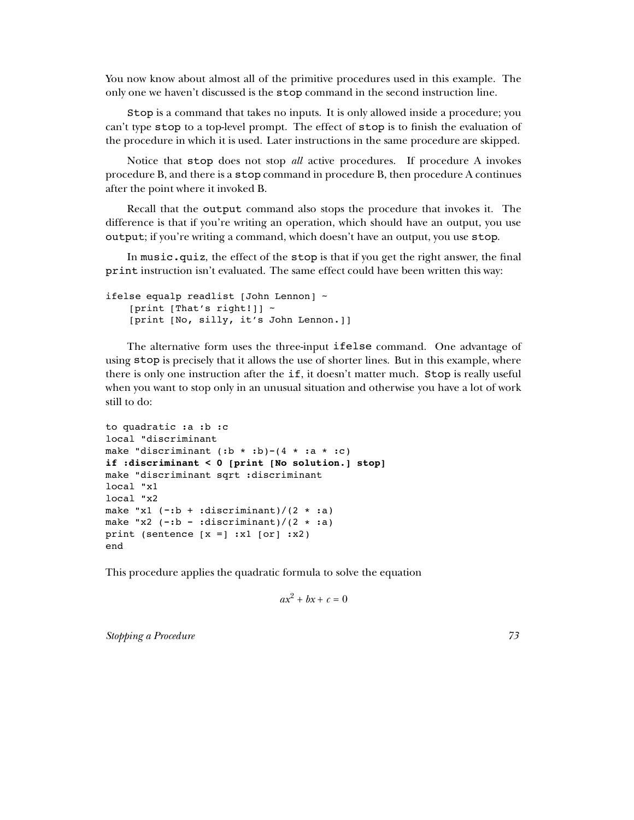only one we haven't discussed is the stop command in the second instruction line. You now know about almost all of the primitive procedures used in this example. The

Stop is a command that takes no inputs. It is only allowed inside a procedure; you can't type stop to a top-level prompt. The effect of stop is to finish the evaluation of the procedure in which it is used. Later instructions in the same procedure are skipped.

Notice that stop does not stop *all* active procedures. If procedure A invokes procedure B, and there is a  $\mathtt{stop}$  command in procedure B, then procedure A continues after the point where it invoked B.

Recall that the output command also stops the procedure that invokes it. The output; if you're writing a command, which doesn't have an output, you use stop. difference is that if you're writing an operation, which should have an output, you use

In music.quiz, the effect of the stop is that if you get the right answer, the final print instruction isn't evaluated. The same effect could have been written this way:

```
ifelse equalp readlist [John Lennon] ~
    [print [That's right!]] ~
    [print [No, silly, it's John Lennon.]]
```
The alternative form uses the three-input ifelse command. One advantage of using  $\texttt{stop}$  is precisely that it allows the use of shorter lines. But in this example, where there is only one instruction after the if, it doesn't matter much. Stop is really useful when you want to stop only in an unusual situation and otherwise you have a lot of work still to do:

```
if :discriminant < 0 [print [No solution.] stop]
to quadratic :a :b :c
local "discriminant
make "discriminant (:b * :b)-(4 * :a * :c)make "discriminant sqrt :discriminant
local "x1
local "x2
make "x1 (-:b + :discriptionant)/(2 * :a)make "x2 (-:b - :discriptionant)/(2 * :a)print (sentence [x =] :x1 [or] :x2)
end
```
This procedure applies the quadratic formula to solve the equation

$$
ax^2 + bx + c = 0
$$

*Stopping a Procedure 73*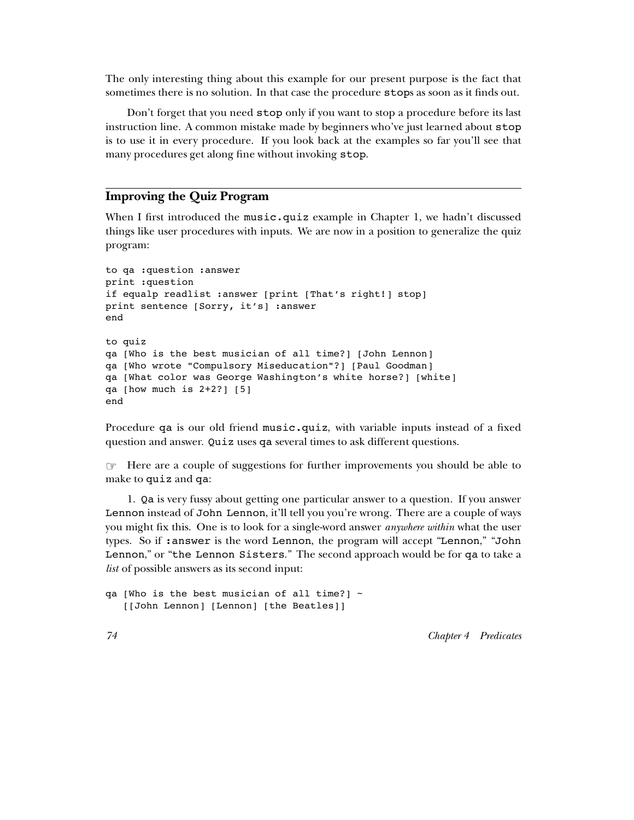sometimes there is no solution. In that case the procedure  $\mathop{\mathtt{stops}}$  as soon as it finds out. The only interesting thing about this example for our present purpose is the fact that

Don't forget that you need stop only if you want to stop a procedure before its last instruction line. A common mistake made by beginners who've just learned about  $\mathop{\mathsf{stop}}$ many procedures get along fine without invoking  $\mathop{\mathsf{stop}}\nolimits.$ is to use it in every procedure. If you look back at the examples so far you'll see that

#### **Improving the Quiz Program**

When I first introduced the  $\verb|music.quiz|$  example in Chapter 1, we hadn't discussed things like user procedures with inputs. We are now in a position to generalize the quiz program:

```
to qa :question :answer
print :question
if equalp readlist :answer [print [That's right!] stop]
print sentence [Sorry, it's] :answer
end
to quiz
qa [Who is the best musician of all time?] [John Lennon]
qa [Who wrote "Compulsory Miseducation"?] [Paul Goodman]
qa [What color was George Washington's white horse?] [white]
qa [how much is 2+2?] [5]
end
```
Procedure qa is our old friend music.quiz, with variable inputs instead of a fixed question and answer. Quiz uses qa several times to ask different questions.

☞ Here are a couple of suggestions for further improvements you should be able to make to **quiz** and **qa**:

you might fix this. One is to look for a single-word answer *anywhere within* what the user *list* of possible answers as its second input:1. Qa is very fussy about getting one particular answer to a question. If you answer Lennon instead of John Lennon, it'll tell you you're wrong. There are a couple of ways types. So if : answer is the word Lennon, the program will accept "Lennon," "John Lennon," or "the Lennon Sisters." The second approach would be for qa to take a

```
qa [Who is the best musician of all time?] ~
   [[John Lennon] [Lennon] [the Beatles]]
```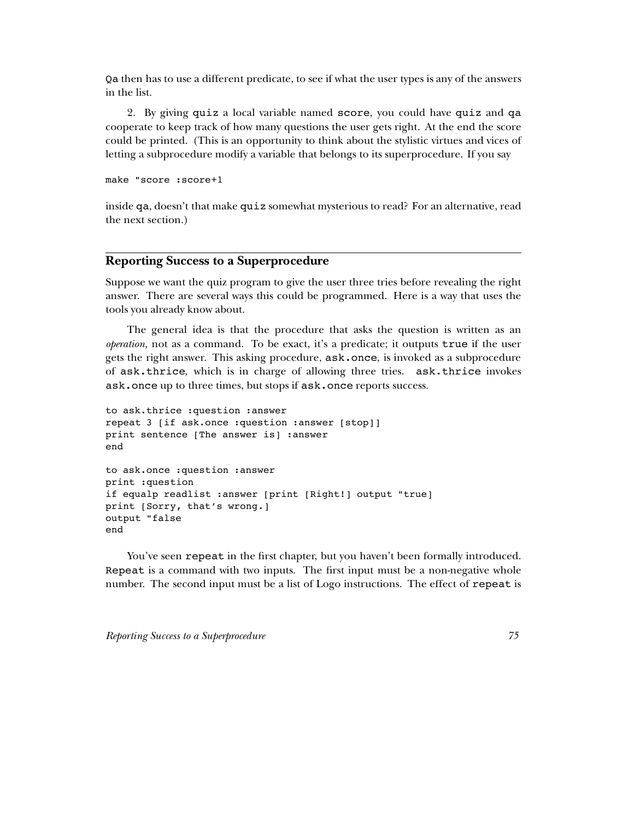Qa then has to use a different predicate, to see if what the user types is any of the answers in the list.

2. By giving quiz a local variable named score, you could have quiz and qa cooperate to keep track of how many questions the user gets right. At the end the score could be printed. (This is an opportunity to think about the stylistic virtues and vices of letting a subprocedure modify a variable that belongs to its superprocedure. If you say

make "score :score+1

inside qa, doesn't that make quiz somewhat mysterious to read? For an alternative, read the next section.)

## **Reporting Success to a Superprocedure**

Suppose we want the quiz program to give the user three tries before revealing the right answer. There are several ways this could be programmed. Here is a way that uses the tools you already know about.

*operation*, not as a command. To be exact, it's a predicate; it outputs true if the user gets the right answer. This asking procedure,  $ask-once$ , is invoked as a subprocedure of ask.thrice, which is in charge of allowing three tries. ask.thrice invokes ask.once up to three times, but stops if ask.once reports success. The general idea is that the procedure that asks the question is written as an

```
to ask.thrice :question :answer
repeat 3 [if ask.once :question :answer [stop]]
print sentence [The answer is] :answer
end
to ask.once :question :answer
print :question
if equalp readlist :answer [print [Right!] output "true]
print [Sorry, that's wrong.]
output "false
end
```
You've seen **repeat** in the first chapter, but you haven't been formally introduced. Repeat is a command with two inputs. The first input must be a non-negative whole number. The second input must be a list of Logo instructions. The effect of repeat is

*Reporting Success to a Superprocedure 75*